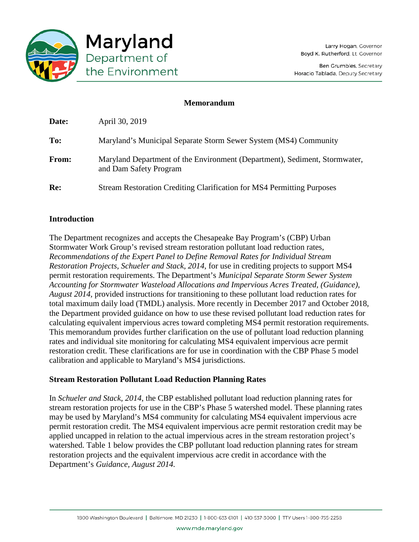

## **Memorandum**

| Re:   | Stream Restoration Crediting Clarification for MS4 Permitting Purposes                               |
|-------|------------------------------------------------------------------------------------------------------|
| From: | Maryland Department of the Environment (Department), Sediment, Stormwater,<br>and Dam Safety Program |
| To:   | Maryland's Municipal Separate Storm Sewer System (MS4) Community                                     |
| Date: | April 30, 2019                                                                                       |

# **Introduction**

The Department recognizes and accepts the Chesapeake Bay Program's (CBP) Urban Stormwater Work Group's revised stream restoration pollutant load reduction rates, *Recommendations of the Expert Panel to Define Removal Rates for Individual Stream Restoration Projects, Schueler and Stack, 2014,* for use in crediting projects to support MS4 permit restoration requirements. The Department's *Municipal Separate Storm Sewer System Accounting for Stormwater Wasteload Allocations and Impervious Acres Treated, (Guidance), August 2014,* provided instructions for transitioning to these pollutant load reduction rates for total maximum daily load (TMDL) analysis. More recently in December 2017 and October 2018, the Department provided guidance on how to use these revised pollutant load reduction rates for calculating equivalent impervious acres toward completing MS4 permit restoration requirements. This memorandum provides further clarification on the use of pollutant load reduction planning rates and individual site monitoring for calculating MS4 equivalent impervious acre permit restoration credit. These clarifications are for use in coordination with the CBP Phase 5 model calibration and applicable to Maryland's MS4 jurisdictions.

# **Stream Restoration Pollutant Load Reduction Planning Rates**

In *Schueler and Stack, 2014*, the CBP established pollutant load reduction planning rates for stream restoration projects for use in the CBP's Phase 5 watershed model. These planning rates may be used by Maryland's MS4 community for calculating MS4 equivalent impervious acre permit restoration credit. The MS4 equivalent impervious acre permit restoration credit may be applied uncapped in relation to the actual impervious acres in the stream restoration project's watershed. Table 1 below provides the CBP pollutant load reduction planning rates for stream restoration projects and the equivalent impervious acre credit in accordance with the Department's *Guidance, August 2014.*